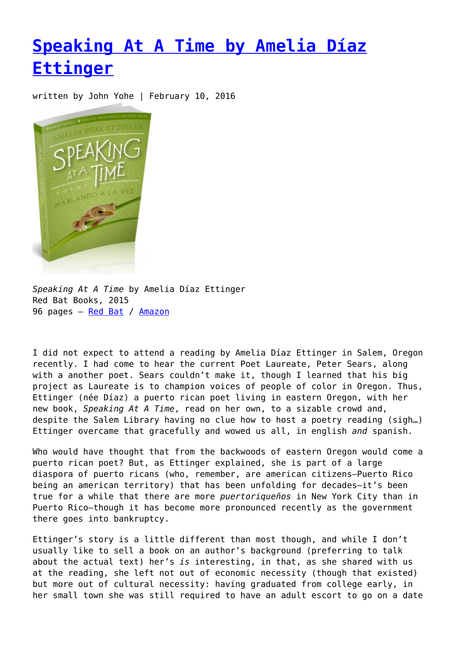## **[Speaking At A Time by Amelia Díaz](https://entropymag.org/speaking-at-a-time-by-amelia-diaz-ettinger-2/) [Ettinger](https://entropymag.org/speaking-at-a-time-by-amelia-diaz-ettinger-2/)**

written by John Yohe | February 10, 2016



*Speaking At A Time* by Amelia Díaz Ettinger Red Bat Books, 2015 96 pages - [Red Bat](http://www.redbatbooks.com/speaking-at-a-time.html) / [Amazon](http://www.amazon.com/Speaking-at-Time-Hablando-Vez/dp/098959243X/ref=sr_1_1?ie=UTF8&qid=1455129616&sr=8-1&keywords=speaking+at+a+time+ettinger)

I did not expect to attend a reading by Amelia Díaz Ettinger in Salem, Oregon recently. I had come to hear the current Poet Laureate, Peter Sears, along with a another poet. Sears couldn't make it, though I learned that his big project as Laureate is to champion voices of people of color in Oregon. Thus, Ettinger (née Díaz) a puerto rican poet living in eastern Oregon, with her new book, *Speaking At A Time*, read on her own, to a sizable crowd and, despite the Salem Library having no clue how to host a poetry reading (sigh…) Ettinger overcame that gracefully and wowed us all, in english *and* spanish.

Who would have thought that from the backwoods of eastern Oregon would come a puerto rican poet? But, as Ettinger explained, she is part of a large diaspora of puerto ricans (who, remember, are american citizens—Puerto Rico being an american territory) that has been unfolding for decades—it's been true for a while that there are more *puertoriqueños* in New York City than in Puerto Rico—though it has become more pronounced recently as the government there goes into bankruptcy.

Ettinger's story is a little different than most though, and while I don't usually like to sell a book on an author's background (preferring to talk about the actual text) her's *is* interesting, in that, as she shared with us at the reading, she left not out of economic necessity (though that existed) but more out of cultural necessity: having graduated from college early, in her small town she was still required to have an adult escort to go on a date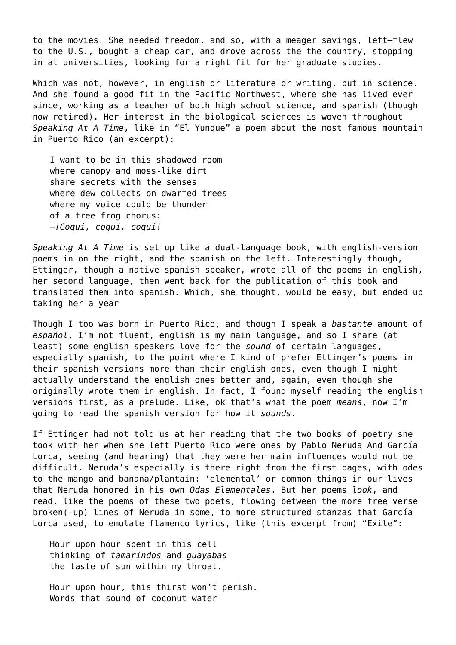to the movies. She needed freedom, and so, with a meager savings, left—flew to the U.S., bought a cheap car, and drove across the the country, stopping in at universities, looking for a right fit for her graduate studies.

Which was not, however, in english or literature or writing, but in science. And she found a good fit in the Pacific Northwest, where she has lived ever since, working as a teacher of both high school science, and spanish (though now retired). Her interest in the biological sciences is woven throughout *Speaking At A Time*, like in "El Yunque" a poem about the most famous mountain in Puerto Rico (an excerpt):

I want to be in this shadowed room where canopy and moss-like dirt share secrets with the senses where dew collects on dwarfed trees where my voice could be thunder of a tree frog chorus: —*¡Coquí, coquí, coquí!*

*Speaking At A Time* is set up like a dual-language book, with english-version poems in on the right, and the spanish on the left. Interestingly though, Ettinger, though a native spanish speaker, wrote all of the poems in english, her second language, then went back for the publication of this book and translated them into spanish. Which, she thought, would be easy, but ended up taking her a year

Though I too was born in Puerto Rico, and though I speak a *bastante* amount of *español*, I'm not fluent, english is my main language, and so I share (at least) some english speakers love for the *sound* of certain languages, especially spanish, to the point where I kind of prefer Ettinger's poems in their spanish versions more than their english ones, even though I might actually understand the english ones better and, again, even though she originally wrote them in english. In fact, I found myself reading the english versions first, as a prelude. Like, ok that's what the poem *means*, now I'm going to read the spanish version for how it *sounds*.

If Ettinger had not told us at her reading that the two books of poetry she took with her when she left Puerto Rico were ones by Pablo Neruda And García Lorca, seeing (and hearing) that they were her main influences would not be difficult. Neruda's especially is there right from the first pages, with odes to the mango and banana/plantain: 'elemental' or common things in our lives that Neruda honored in his own *Odas Elementales*. But her poems *look*, and read, like the poems of these two poets, flowing between the more free verse broken(-up) lines of Neruda in some, to more structured stanzas that García Lorca used, to emulate flamenco lyrics, like (this excerpt from) "Exile":

Hour upon hour spent in this cell thinking of *tamarindos* and *guayabas* the taste of sun within my throat.

Hour upon hour, this thirst won't perish. Words that sound of coconut water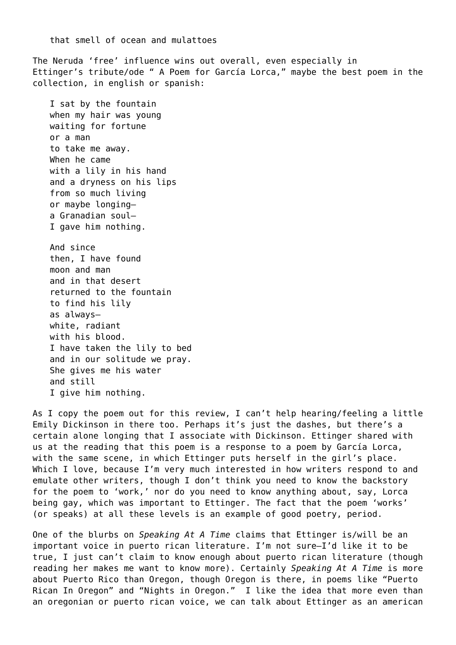that smell of ocean and mulattoes

The Neruda 'free' influence wins out overall, even especially in Ettinger's tribute/ode " A Poem for García Lorca," maybe the best poem in the collection, in english or spanish:

I sat by the fountain when my hair was young waiting for fortune or a man to take me away. When he came with a lily in his hand and a dryness on his lips from so much living or maybe longing a Granadian soul— I gave him nothing.

And since then, I have found moon and man and in that desert returned to the fountain to find his lily as always white, radiant with his blood. I have taken the lily to bed and in our solitude we pray. She gives me his water and still I give him nothing.

As I copy the poem out for this review, I can't help hearing/feeling a little Emily Dickinson in there too. Perhaps it's just the dashes, but there's a certain alone longing that I associate with Dickinson. Ettinger shared with us at the reading that this poem is a response to a poem by García Lorca, with the same scene, in which Ettinger puts herself in the girl's place. Which I love, because I'm very much interested in how writers respond to and emulate other writers, though I don't think you need to know the backstory for the poem to 'work,' nor do you need to know anything about, say, Lorca being gay, which was important to Ettinger. The fact that the poem 'works' (or speaks) at all these levels is an example of good poetry, period.

One of the blurbs on *Speaking At A Time* claims that Ettinger is/will be an important voice in puerto rican literature. I'm not sure—I'd like it to be true, I just can't claim to know enough about puerto rican literature (though reading her makes me want to know more). Certainly *Speaking At A Time* is more about Puerto Rico than Oregon, though Oregon is there, in poems like "Puerto Rican In Oregon" and "Nights in Oregon." I like the idea that more even than an oregonian or puerto rican voice, we can talk about Ettinger as an american